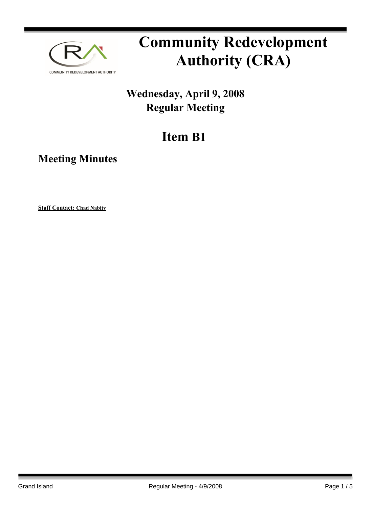

# **Community Redevelopment Authority (CRA)**

### **Wednesday, April 9, 2008 Regular Meeting**

## **Item B1**

**Meeting Minutes**

**Staff Contact: Chad Nabity**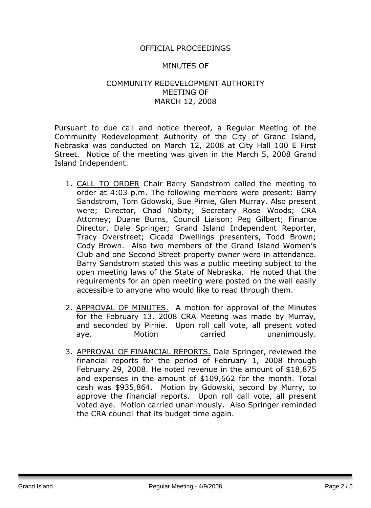#### OFFICIAL PROCEEDINGS

#### MINUTES OF

#### COMMUNITY REDEVELOPMENT AUTHORITY MEETING OF MARCH 12, 2008

Pursuant to due call and notice thereof, a Regular Meeting of the Community Redevelopment Authority of the City of Grand Island, Nebraska was conducted on March 12, 2008 at City Hall 100 E First Street. Notice of the meeting was given in the March 5, 2008 Grand Island Independent.

- 1. CALL TO ORDER Chair Barry Sandstrom called the meeting to order at 4:03 p.m. The following members were present: Barry Sandstrom, Tom Gdowski, Sue Pirnie, Glen Murray. Also present were; Director, Chad Nabity; Secretary Rose Woods; CRA Attorney; Duane Burns, Council Liaison; Peg Gilbert; Finance Director, Dale Springer; Grand Island Independent Reporter, Tracy Overstreet; Cicada Dwellings presenters, Todd Brown; Cody Brown. Also two members of the Grand Island Women's Club and one Second Street property owner were in attendance. Barry Sandstrom stated this was a public meeting subject to the open meeting laws of the State of Nebraska. He noted that the requirements for an open meeting were posted on the wall easily accessible to anyone who would like to read through them.
- 2. APPROVAL OF MINUTES. A motion for approval of the Minutes for the February 13, 2008 CRA Meeting was made by Murray, and seconded by Pirnie. Upon roll call vote, all present voted aye. Motion carried unanimously.
- 3. APPROVAL OF FINANCIAL REPORTS. Dale Springer, reviewed the financial reports for the period of February 1, 2008 through February 29, 2008. He noted revenue in the amount of \$18,875 and expenses in the amount of \$109,662 for the month. Total cash was \$935,864. Motion by Gdowski, second by Murry, to approve the financial reports. Upon roll call vote, all present voted aye. Motion carried unanimously. Also Springer reminded the CRA council that its budget time again.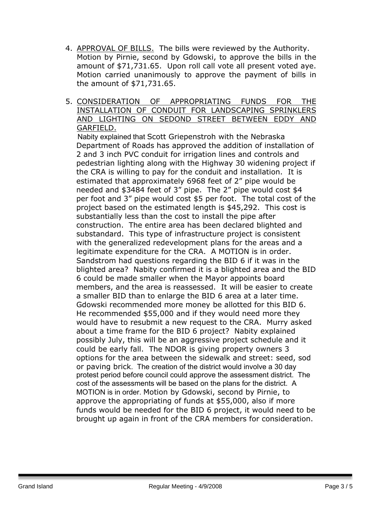- 4. APPROVAL OF BILLS. The bills were reviewed by the Authority. Motion by Pirnie, second by Gdowski, to approve the bills in the amount of \$71,731.65. Upon roll call vote all present voted aye. Motion carried unanimously to approve the payment of bills in the amount of \$71,731.65.
- 5. CONSIDERATION OF APPROPRIATING FUNDS FOR THE INSTALLATION OF CONDUIT FOR LANDSCAPING SPRINKLERS AND LIGHTING ON SEDOND STREET BETWEEN EDDY AND GARFIELD.

 Nabity explained that Scott Griepenstroh with the Nebraska Department of Roads has approved the addition of installation of 2 and 3 inch PVC conduit for irrigation lines and controls and pedestrian lighting along with the Highway 30 widening project if the CRA is willing to pay for the conduit and installation. It is estimated that approximately 6968 feet of 2" pipe would be needed and \$3484 feet of 3" pipe. The 2" pipe would cost \$4 per foot and 3" pipe would cost \$5 per foot. The total cost of the project based on the estimated length is \$45,292. This cost is substantially less than the cost to install the pipe after construction. The entire area has been declared blighted and substandard. This type of infrastructure project is consistent with the generalized redevelopment plans for the areas and a legitimate expenditure for the CRA. A MOTION is in order. Sandstrom had questions regarding the BID 6 if it was in the blighted area? Nabity confirmed it is a blighted area and the BID 6 could be made smaller when the Mayor appoints board members, and the area is reassessed. It will be easier to create a smaller BID than to enlarge the BID 6 area at a later time. Gdowski recommended more money be allotted for this BID 6. He recommended \$55,000 and if they would need more they would have to resubmit a new request to the CRA. Murry asked about a time frame for the BID 6 project? Nabity explained possibly July, this will be an aggressive project schedule and it could be early fall. The NDOR is giving property owners 3 options for the area between the sidewalk and street: seed, sod or paving brick. The creation of the district would involve a 30 day protest period before council could approve the assessment district. The cost of the assessments will be based on the plans for the district. A MOTION is in order. Motion by Gdowski, second by Pirnie, to approve the appropriating of funds at \$55,000, also if more funds would be needed for the BID 6 project, it would need to be brought up again in front of the CRA members for consideration.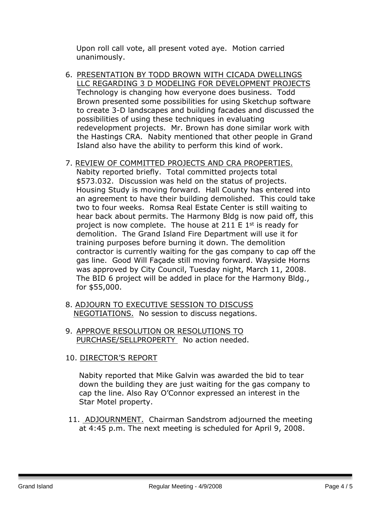Upon roll call vote, all present voted aye. Motion carried unanimously.

6. PRESENTATION BY TODD BROWN WITH CICADA DWELLINGS LLC REGARDING 3 D MODELING FOR DEVELOPMENT PROJECTS Technology is changing how everyone does business. Todd Brown presented some possibilities for using Sketchup software to create 3-D landscapes and building facades and discussed the possibilities of using these techniques in evaluating redevelopment projects. Mr. Brown has done similar work with the Hastings CRA. Nabity mentioned that other people in Grand Island also have the ability to perform this kind of work.

#### 7. REVIEW OF COMMITTED PROJECTS AND CRA PROPERTIES.

Nabity reported briefly. Total committed projects total \$573.032. Discussion was held on the status of projects. Housing Study is moving forward. Hall County has entered into an agreement to have their building demolished. This could take two to four weeks. Romsa Real Estate Center is still waiting to hear back about permits. The Harmony Bldg is now paid off, this project is now complete. The house at 211 E  $1<sup>st</sup>$  is ready for demolition. The Grand Island Fire Department will use it for training purposes before burning it down. The demolition contractor is currently waiting for the gas company to cap off the gas line. Good Will Façade still moving forward. Wayside Horns was approved by City Council, Tuesday night, March 11, 2008. The BID 6 project will be added in place for the Harmony Bldg., for \$55,000.

- 8. ADJOURN TO EXECUTIVE SESSION TO DISCUSS NEGOTIATIONS. No session to discuss negations.
- 9. APPROVE RESOLUTION OR RESOLUTIONS TO PURCHASE/SELLPROPERTY No action needed.

#### 10. DIRECTOR'S REPORT

Nabity reported that Mike Galvin was awarded the bid to tear down the building they are just waiting for the gas company to cap the line. Also Ray O'Connor expressed an interest in the Star Motel property.

11. ADJOURNMENT. Chairman Sandstrom adjourned the meeting at 4:45 p.m. The next meeting is scheduled for April 9, 2008.